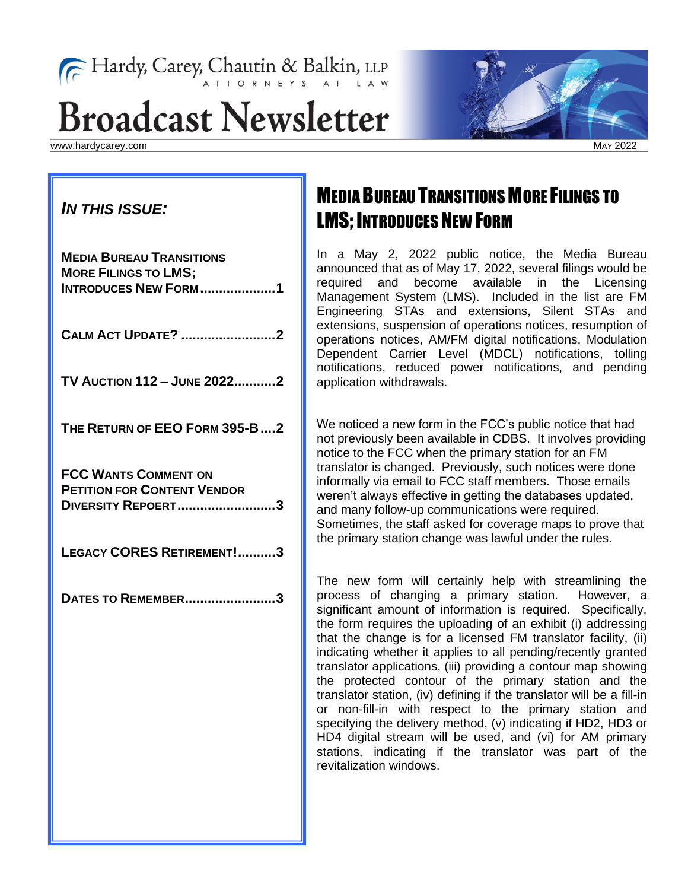# Fardy, Carey, Chautin & Balkin, LLP

# **Broadcast Newsletter**

www.hardycarey.com



MAY 2022

#### *IN THIS ISSUE:*

| <b>MEDIA BUREAU TRANSITIONS</b><br><b>MORE FILINGS TO LMS;</b><br><b>INTRODUCES NEW FORM1</b>  |
|------------------------------------------------------------------------------------------------|
| <b>CALM ACT UPDATE? 2</b>                                                                      |
| TV AUCTION 112 - JUNE 20222                                                                    |
| THE RETURN OF EEO FORM 395-B2                                                                  |
| <b>FCC WANTS COMMENT ON</b><br><b>PETITION FOR CONTENT VENDOR</b><br><b>DIVERSITY REPOERT3</b> |
| LEGACY CORES RETIREMENT!3                                                                      |
| <b>DATES TO REMEMBER3</b>                                                                      |

# MEDIA BUREAU TRANSITIONS MORE FILINGS TO **LMS; INTRODUCES NEW FORM**

In a May 2, 2022 public notice, the Media Bureau announced that as of May 17, 2022, several filings would be required and become available in the Licensing Management System (LMS). Included in the list are FM Engineering STAs and extensions, Silent STAs and extensions, suspension of operations notices, resumption of operations notices, AM/FM digital notifications, Modulation Dependent Carrier Level (MDCL) notifications, tolling notifications, reduced power notifications, and pending application withdrawals.

We noticed a new form in the FCC's public notice that had not previously been available in CDBS. It involves providing notice to the FCC when the primary station for an FM translator is changed. Previously, such notices were done informally via email to FCC staff members. Those emails weren't always effective in getting the databases updated, and many follow-up communications were required. Sometimes, the staff asked for coverage maps to prove that the primary station change was lawful under the rules.

The new form will certainly help with streamlining the process of changing a primary station. However, a significant amount of information is required. Specifically, the form requires the uploading of an exhibit (i) addressing that the change is for a licensed FM translator facility, (ii) indicating whether it applies to all pending/recently granted translator applications, (iii) providing a contour map showing the protected contour of the primary station and the translator station, (iv) defining if the translator will be a fill-in or non-fill-in with respect to the primary station and specifying the delivery method, (v) indicating if HD2, HD3 or HD4 digital stream will be used, and (vi) for AM primary stations, indicating if the translator was part of the revitalization windows.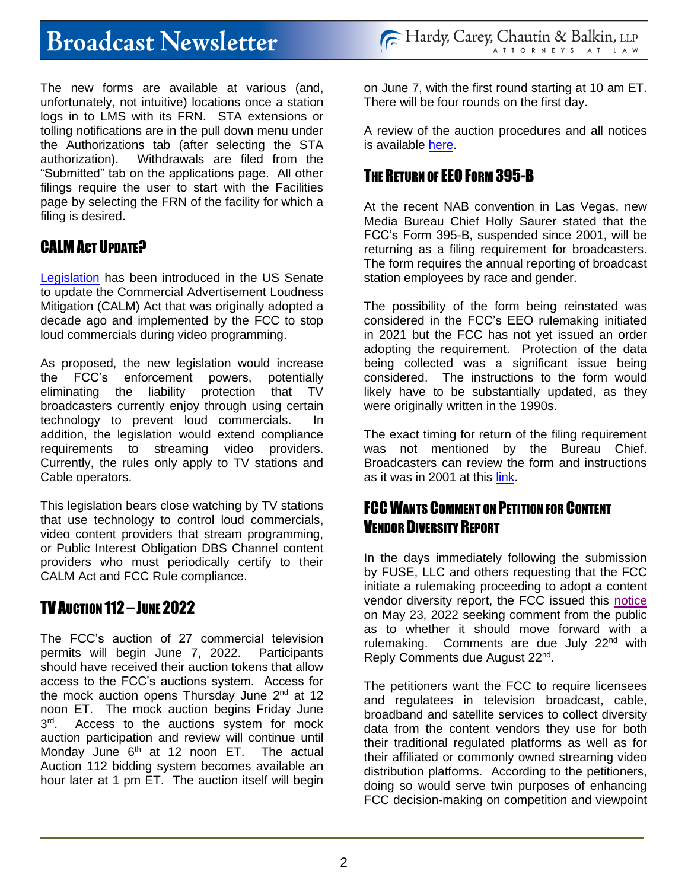# **Broadcast Newsletter**

The new forms are available at various (and, unfortunately, not intuitive) locations once a station logs in to LMS with its FRN. STA extensions or tolling notifications are in the pull down menu under the Authorizations tab (after selecting the STA authorization). Withdrawals are filed from the "Submitted" tab on the applications page. All other filings require the user to start with the Facilities page by selecting the FRN of the facility for which a filing is desired.

### CALM ACT IIPDATE?

[Legislation](https://eshoo.house.gov/sites/eshoo.house.gov/files/ESHOO_093_xml.pdf) has been introduced in the US Senate to update the Commercial Advertisement Loudness Mitigation (CALM) Act that was originally adopted a decade ago and implemented by the FCC to stop loud commercials during video programming.

As proposed, the new legislation would increase the FCC's enforcement powers, potentially eliminating the liability protection that TV broadcasters currently enjoy through using certain technology to prevent loud commercials. In addition, the legislation would extend compliance requirements to streaming video providers. Currently, the rules only apply to TV stations and Cable operators.

This legislation bears close watching by TV stations that use technology to control loud commercials, video content providers that stream programming, or Public Interest Obligation DBS Channel content providers who must periodically certify to their CALM Act and FCC Rule compliance.

## TV AUCTION 112 – JUNE 2022

The FCC's auction of 27 commercial television permits will begin June 7, 2022. Participants should have received their auction tokens that allow access to the FCC's auctions system. Access for the mock auction opens Thursday June  $2<sup>nd</sup>$  at 12 noon ET. The mock auction begins Friday June  $3<sup>rd</sup>$ Access to the auctions system for mock auction participation and review will continue until Monday June  $6<sup>th</sup>$  at 12 noon ET. The actual Auction 112 bidding system becomes available an hour later at 1 pm ET. The auction itself will begin

on June 7, with the first round starting at 10 am ET. There will be four rounds on the first day.

A review of the auction procedures and all notices is available [here.](https://www.fcc.gov/auction/112)

### THE RETURN OF EEO FORM 395-B

At the recent NAB convention in Las Vegas, new Media Bureau Chief Holly Saurer stated that the FCC's Form 395-B, suspended since 2001, will be returning as a filing requirement for broadcasters. The form requires the annual reporting of broadcast station employees by race and gender.

The possibility of the form being reinstated was considered in the FCC's EEO rulemaking initiated in 2021 but the FCC has not yet issued an order adopting the requirement. Protection of the data being collected was a significant issue being considered. The instructions to the form would likely have to be substantially updated, as they were originally written in the 1990s.

The exact timing for return of the filing requirement was not mentioned by the Bureau Chief. Broadcasters can review the form and instructions as it was in 2001 at this [link.](https://transition.fcc.gov/Forms/Form395B/395b.pdf)

### FCC WANTS COMMENT ON PETITION FOR CONTENT VENDOR DIVERSITY REPORT

In the days immediately following the submission by FUSE, LLC and others requesting that the FCC initiate a rulemaking proceeding to adopt a content vendor diversity report, the FCC issued this [notice](https://docs.fcc.gov/public/attachments/DA-22-567A1.pdf) on May 23, 2022 seeking comment from the public as to whether it should move forward with a rulemaking. Comments are due July 22<sup>nd</sup> with Reply Comments due August 22<sup>nd</sup>.

The petitioners want the FCC to require licensees and regulatees in television broadcast, cable, broadband and satellite services to collect diversity data from the content vendors they use for both their traditional regulated platforms as well as for their affiliated or commonly owned streaming video distribution platforms. According to the petitioners, doing so would serve twin purposes of enhancing FCC decision-making on competition and viewpoint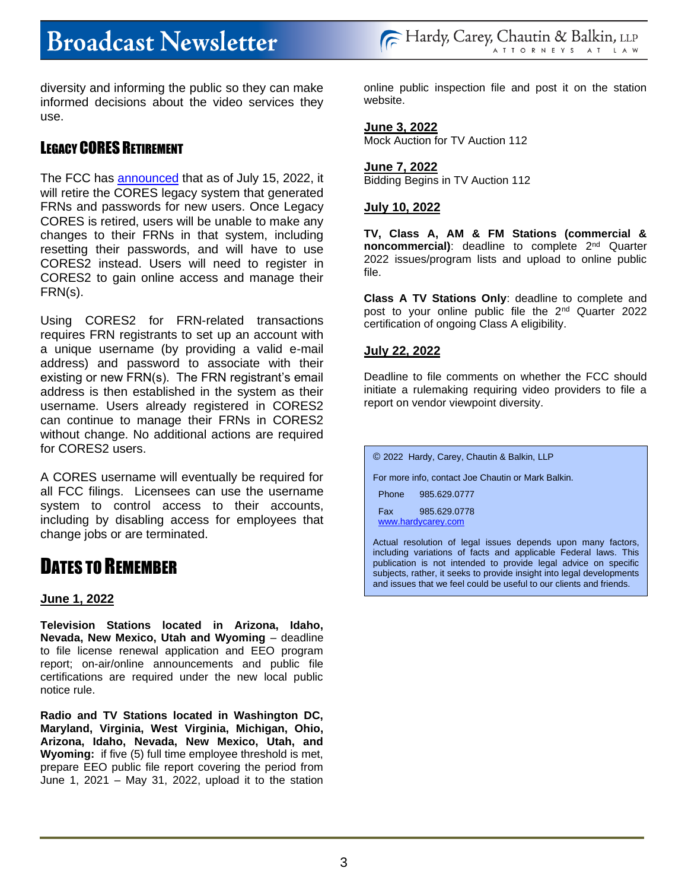diversity and informing the public so they can make informed decisions about the video services they use.

#### LEGACY CORES RETIREMENT

The FCC has [announced](https://docs.fcc.gov/public/attachments/DA-22-508A1.pdf) that as of July 15, 2022, it will retire the CORES legacy system that generated FRNs and passwords for new users. Once Legacy CORES is retired, users will be unable to make any changes to their FRNs in that system, including resetting their passwords, and will have to use CORES2 instead. Users will need to register in CORES2 to gain online access and manage their FRN(s).

Using CORES2 for FRN-related transactions requires FRN registrants to set up an account with a unique username (by providing a valid e-mail address) and password to associate with their existing or new FRN(s). The FRN registrant's email address is then established in the system as their username. Users already registered in CORES2 can continue to manage their FRNs in CORES2 without change. No additional actions are required for CORES2 users.

A CORES username will eventually be required for all FCC filings. Licensees can use the username system to control access to their accounts, including by disabling access for employees that change jobs or are terminated.

## DATES TO REMEMBER

#### **June 1, 2022**

**Television Stations located in Arizona, Idaho, Nevada, New Mexico, Utah and Wyoming** – deadline to file license renewal application and EEO program report; on-air/online announcements and public file certifications are required under the new local public notice rule.

**Radio and TV Stations located in Washington DC, Maryland, Virginia, West Virginia, Michigan, Ohio, Arizona, Idaho, Nevada, New Mexico, Utah, and Wyoming:** if five (5) full time employee threshold is met, prepare EEO public file report covering the period from June 1, 2021 – May 31, 2022, upload it to the station online public inspection file and post it on the station website.

#### **June 3, 2022**

Mock Auction for TV Auction 112

**June 7, 2022** Bidding Begins in TV Auction 112

#### **July 10, 2022**

**TV, Class A, AM & FM Stations (commercial & noncommercial)**: deadline to complete 2nd Quarter 2022 issues/program lists and upload to online public file.

**Class A TV Stations Only**: deadline to complete and post to your online public file the 2nd Quarter 2022 certification of ongoing Class A eligibility.

#### **July 22, 2022**

Deadline to file comments on whether the FCC should initiate a rulemaking requiring video providers to file a report on vendor viewpoint diversity.

| © 2022 Hardy, Carey, Chautin & Balkin, LLP                  |  |
|-------------------------------------------------------------|--|
| For more info, contact Joe Chautin or Mark Balkin.          |  |
| Phone 985.629.0777                                          |  |
| Fax 985.629.0778<br>www.hardycarey.com                      |  |
| Actual resolution of legal issues depends upon many factors |  |

Actual resolution of legal issues depends upon many factors, including variations of facts and applicable Federal laws. This publication is not intended to provide legal advice on specific subjects, rather, it seeks to provide insight into legal developments and issues that we feel could be useful to our clients and friends.